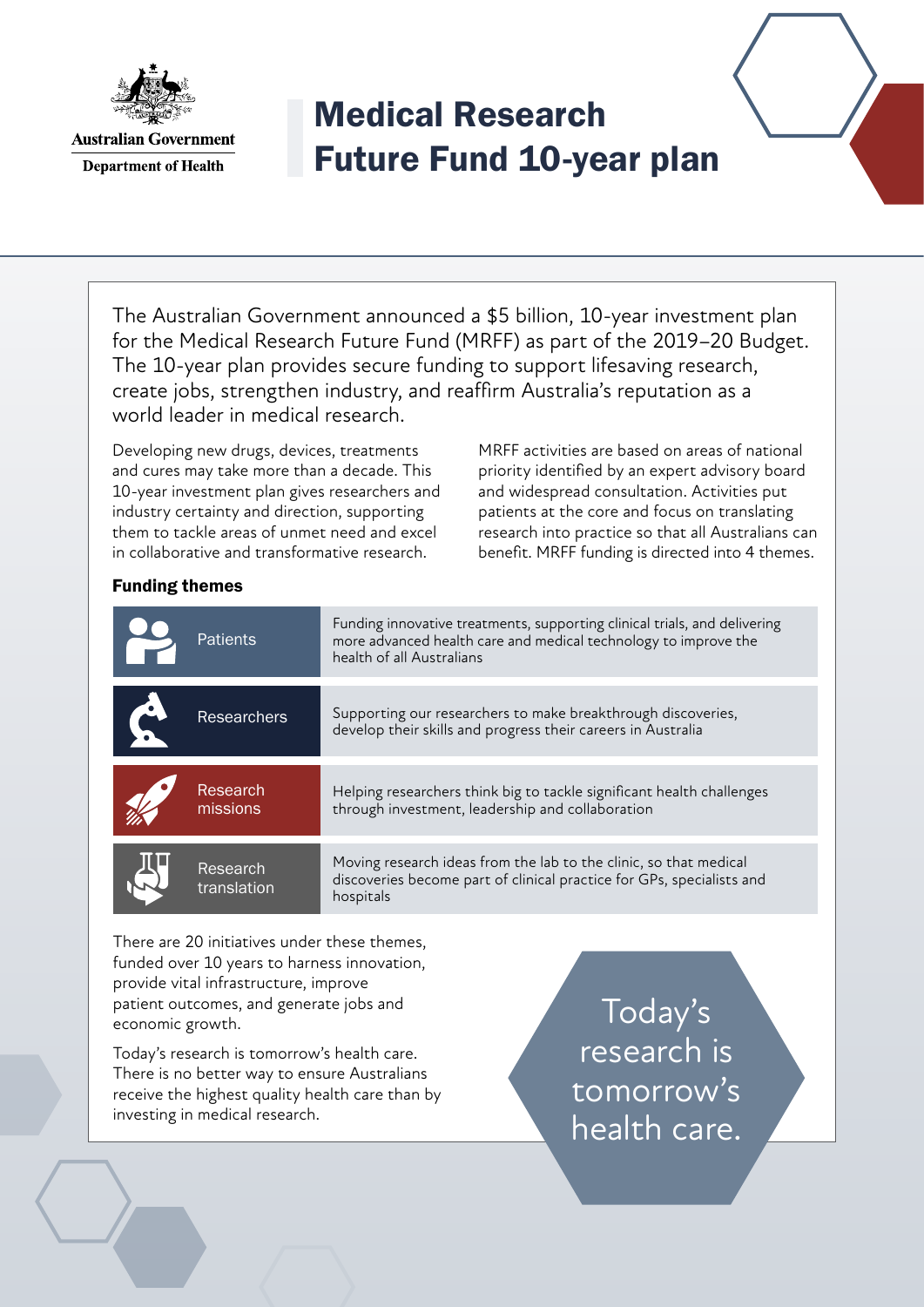

**Australian Government Department of Health** 

## Medical Research Future Fund 10-year plan

The Australian Government announced a \$5 billion, 10-year investment plan for the Medical Research Future Fund (MRFF) as part of the 2019–20 Budget. The 10-year plan provides secure funding to support lifesaving research, create jobs, strengthen industry, and reaffirm Australia's reputation as a world leader in medical research.

Developing new drugs, devices, treatments and cures may take more than a decade. This 10-year investment plan gives researchers and industry certainty and direction, supporting them to tackle areas of unmet need and excel in collaborative and transformative research.

MRFF activities are based on areas of national priority identified by an expert advisory board and widespread consultation. Activities put patients at the core and focus on translating research into practice so that all Australians can benefit. MRFF funding is directed into 4 themes.

## Funding themes

| <b>Patients</b>         | Funding innovative treatments, supporting clinical trials, and delivering<br>more advanced health care and medical technology to improve the<br>health of all Australians |
|-------------------------|---------------------------------------------------------------------------------------------------------------------------------------------------------------------------|
| <b>Researchers</b>      | Supporting our researchers to make breakthrough discoveries,<br>develop their skills and progress their careers in Australia                                              |
| Research<br>missions    | Helping researchers think big to tackle significant health challenges<br>through investment, leadership and collaboration                                                 |
| Research<br>translation | Moving research ideas from the lab to the clinic, so that medical<br>discoveries become part of clinical practice for GPs, specialists and<br>hospitals                   |
|                         |                                                                                                                                                                           |

There are 20 initiatives under these themes, funded over 10 years to harness innovation, provide vital infrastructure, improve patient outcomes, and generate jobs and economic growth.

Today's research is tomorrow's health care. There is no better way to ensure Australians receive the highest quality health care than by investing in medical research.

Today's research is tomorrow's health care.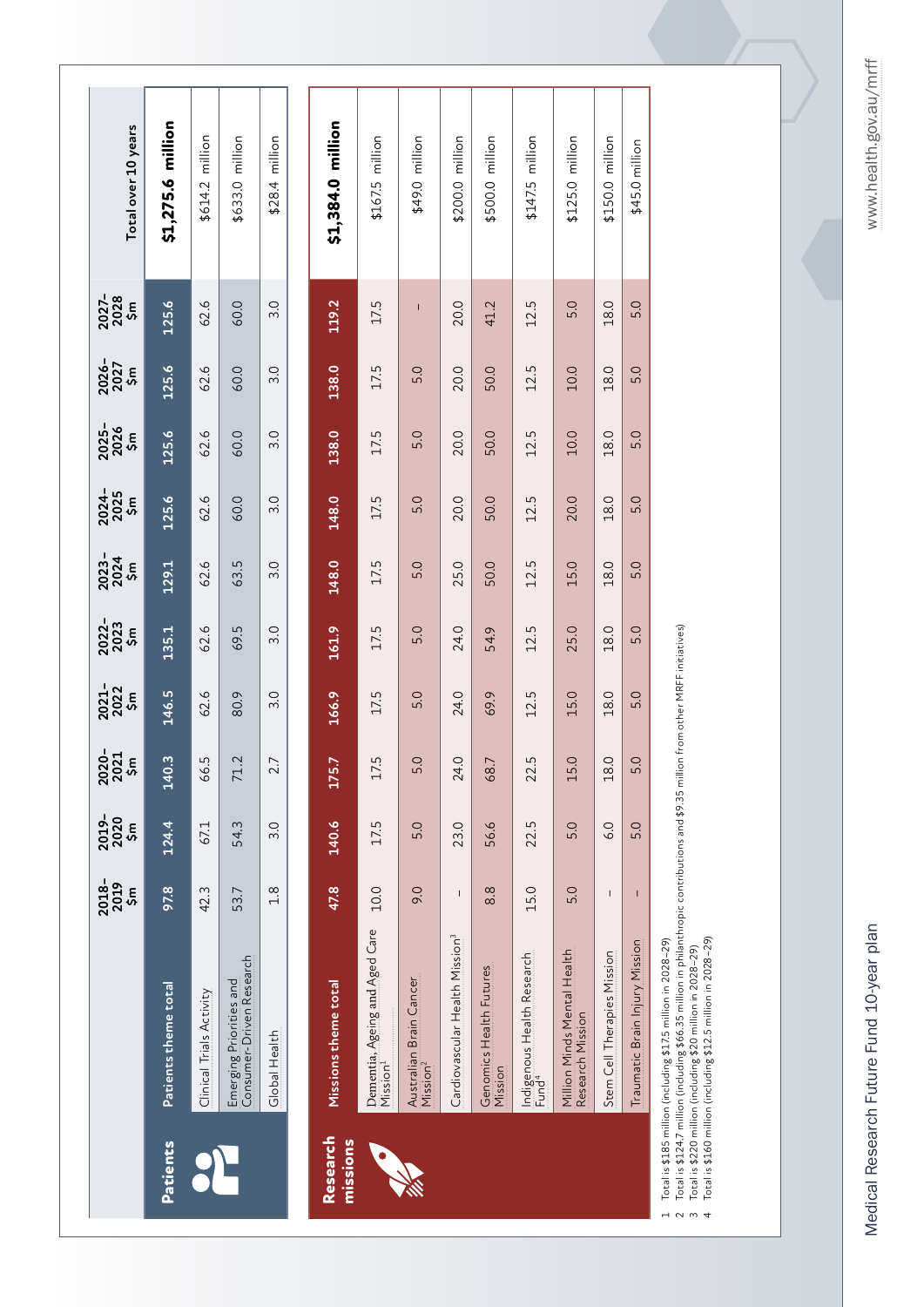Total is \$185 million (including \$17.5 million in 2028–29)

Total is \$185 million (including \$17.5 million in 2028–29)<br>Total is \$124.7 million (including \$66.35 million in philanthropic contributions and \$9.35 million from other MRFF initiatives)<br>Total is \$220 million (including \$2 2 Total is \$124.7 million (including \$66.35 million in philanthropic contributions and \$9.35 million from other MRFF initiatives)

 Total is \$220 million (including \$20 million in 2028–29) Total is \$160 million (including \$12.5 million in 2028–29)

4 U W 4

www.health.gov.au/mrff

Medical Research Future Fund 10-year plan www.health.gov.au/mrff Medical Research Future Fund 10-year plan